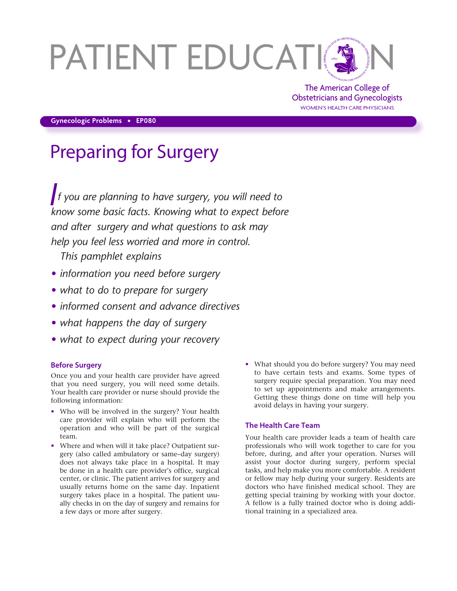# PATIENT EDUCATION

The American College of Obstetricians and Gynecologists WOMEN'S HEALTH CARE PHYSICIANS

**Gynecologic Problems • EP080**

# Preparing for Surgery

*If you are planning to have surgery, you will need to know some basic facts. Knowing what to expect before and after surgery and what questions to ask may help you feel less worried and more in control.* 

*This pamphlet explains*

- *• information you need before surgery*
- *• what to do to prepare for surgery*
- *• informed consent and advance directives*
- *• what happens the day of surgery*
- *• what to expect during your recovery*

# **Before Surgery**

Once you and your health care provider have agreed that you need surgery, you will need some details. Your health care provider or nurse should provide the following information:

- Who will be involved in the surgery? Your health care provider will explain who will perform the operation and who will be part of the surgical team.
- Where and when will it take place? Outpatient surgery (also called ambulatory or same–day surgery) does not always take place in a hospital. It may be done in a health care provider's office, surgical center, or clinic. The patient arrives for surgery and usually returns home on the same day. Inpatient surgery takes place in a hospital. The patient usually checks in on the day of surgery and remains for a few days or more after surgery.
- What should you do before surgery? You may need to have certain tests and exams. Some types of surgery require special preparation. You may need to set up appointments and make arrangements. Getting these things done on time will help you avoid delays in having your surgery.

# **The Health Care Team**

Your health care provider leads a team of health care professionals who will work together to care for you before, during, and after your operation. Nurses will assist your doctor during surgery, perform special tasks, and help make you more comfortable. A resident or fellow may help during your surgery. Residents are doctors who have finished medical school. They are getting special training by working with your doctor. A fellow is a fully trained doctor who is doing additional training in a specialized area.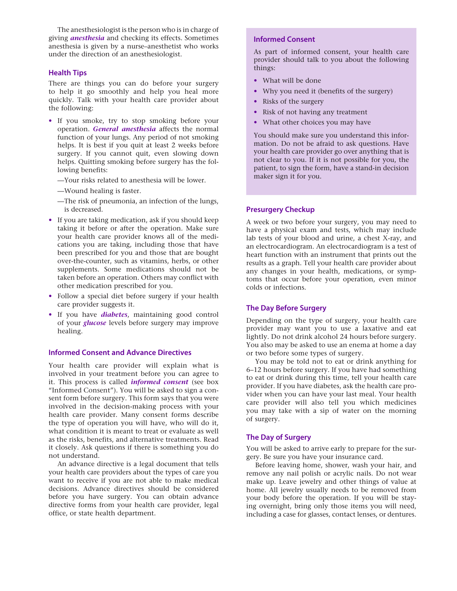The anesthesiologist is the person who is in charge of giving *anesthesia* and checking its effects. Sometimes anesthesia is given by a nurse–anesthetist who works under the direction of an anesthesiologist.

#### **Health Tips**

There are things you can do before your surgery to help it go smoothly and help you heal more quickly. Talk with your health care provider about the following:

- If you smoke, try to stop smoking before your operation. *General anesthesia* affects the normal function of your lungs. Any period of not smoking helps. It is best if you quit at least 2 weeks before surgery. If you cannot quit, even slowing down helps. Quitting smoking before surgery has the following benefits:
	- —Your risks related to anesthesia will be lower.
	- —Wound healing is faster.
	- —The risk of pneumonia, an infection of the lungs, is decreased.
- If you are taking medication, ask if you should keep taking it before or after the operation. Make sure your health care provider knows all of the medications you are taking, including those that have been prescribed for you and those that are bought over-the-counter, such as vitamins, herbs, or other supplements. Some medications should not be taken before an operation. Others may conflict with other medication prescribed for you.
- Follow a special diet before surgery if your health care provider suggests it.
- If you have *diabetes*, maintaining good control of your *glucose* levels before surgery may improve healing.

#### **Informed Consent and Advance Directives**

Your health care provider will explain what is involved in your treatment before you can agree to it. This process is called *informed consent* (see box "Informed Consent"). You will be asked to sign a consent form before surgery. This form says that you were involved in the decision-making process with your health care provider. Many consent forms describe the type of operation you will have, who will do it, what condition it is meant to treat or evaluate as well as the risks, benefits, and alternative treatments. Read it closely. Ask questions if there is something you do not understand.

An advance directive is a legal document that tells your health care providers about the types of care you want to receive if you are not able to make medical decisions. Advance directives should be considered before you have surgery. You can obtain advance directive forms from your health care provider, legal office, or state health department.

### **Informed Consent**

As part of informed consent, your health care provider should talk to you about the following things:

- What will be done
- Why you need it (benefits of the surgery)
- Risks of the surgery
- Risk of not having any treatment
- What other choices you may have

You should make sure you understand this information. Do not be afraid to ask questions. Have your health care provider go over anything that is not clear to you. If it is not possible for you, the patient, to sign the form, have a stand-in decision maker sign it for you.

#### **Presurgery Checkup**

A week or two before your surgery, you may need to have a physical exam and tests, which may include lab tests of your blood and urine, a chest X-ray, and an electrocardiogram. An electrocardiogram is a test of heart function with an instrument that prints out the results as a graph. Tell your health care provider about any changes in your health, medications, or symptoms that occur before your operation, even minor colds or infections.

#### **The Day Before Surgery**

Depending on the type of surgery, your health care provider may want you to use a laxative and eat lightly. Do not drink alcohol 24 hours before surgery. You also may be asked to use an enema at home a day or two before some types of surgery.

You may be told not to eat or drink anything for 6–12 hours before surgery. If you have had something to eat or drink during this time, tell your health care provider. If you have diabetes, ask the health care provider when you can have your last meal. Your health care provider will also tell you which medicines you may take with a sip of water on the morning of surgery.

#### **The Day of Surgery**

You will be asked to arrive early to prepare for the surgery. Be sure you have your insurance card.

Before leaving home, shower, wash your hair, and remove any nail polish or acrylic nails. Do not wear make up. Leave jewelry and other things of value at home. All jewelry usually needs to be removed from your body before the operation. If you will be staying overnight, bring only those items you will need, including a case for glasses, contact lenses, or dentures.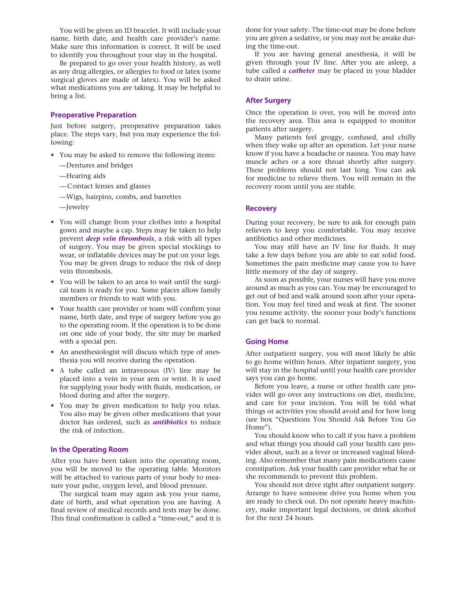You will be given an ID bracelet. It will include your name, birth date, and health care provider's name. Make sure this information is correct. It will be used to identify you throughout your stay in the hospital.

Be prepared to go over your health history, as well as any drug allergies, or allergies to food or latex (some surgical gloves are made of latex). You will be asked what medications you are taking. It may be helpful to bring a list.

#### **Preoperative Preparation**

Just before surgery, preoperative preparation takes place. The steps vary, but you may experience the following:

- You may be asked to remove the following items:
	- —Dentures and bridges
	- —Hearing aids
	- —Contact lenses and glasses
	- —Wigs, hairpins, combs, and barrettes
	- —Jewelry
- You will change from your clothes into a hospital gown and maybe a cap. Steps may be taken to help prevent *deep vein thrombosis*, a risk with all types of surgery. You may be given special stockings to wear, or inflatable devices may be put on your legs. You may be given drugs to reduce the risk of deep vein thrombosis.
- You will be taken to an area to wait until the surgical team is ready for you. Some places allow family members or friends to wait with you.
- Your health care provider or team will confirm your name, birth date, and type of surgery before you go to the operating room. If the operation is to be done on one side of your body, the site may be marked with a special pen.
- An anesthesiologist will discuss which type of anesthesia you will receive during the operation.
- A tube called an intravenous (IV) line may be placed into a vein in your arm or wrist. It is used for supplying your body with fluids, medication, or blood during and after the surgery.
- You may be given medication to help you relax. You also may be given other medications that your doctor has ordered, such as *antibiotics* to reduce the risk of infection.

#### **In the Operating Room**

After you have been taken into the operating room, you will be moved to the operating table. Monitors will be attached to various parts of your body to measure your pulse, oxygen level, and blood pressure.

The surgical team may again ask you your name, date of birth, and what operation you are having. A final review of medical records and tests may be done. This final confirmation is called a "time-out," and it is done for your safety. The time-out may be done before you are given a sedative, or you may not be awake during the time-out.

If you are having general anesthesia, it will be given through your IV line. After you are asleep, a tube called a *catheter* may be placed in your bladder to drain urine.

#### **After Surgery**

Once the operation is over, you will be moved into the recovery area. This area is equipped to monitor patients after surgery.

Many patients feel groggy, confused, and chilly when they wake up after an operation. Let your nurse know if you have a headache or nausea. You may have muscle aches or a sore throat shortly after surgery. These problems should not last long. You can ask for medicine to relieve them. You will remain in the recovery room until you are stable.

#### **Recovery**

During your recovery, be sure to ask for enough pain relievers to keep you comfortable. You may receive antibiotics and other medicines.

You may still have an IV line for fluids. It may take a few days before you are able to eat solid food. Sometimes the pain medicine may cause you to have little memory of the day of surgery.

As soon as possible, your nurses will have you move around as much as you can. You may be encouraged to get out of bed and walk around soon after your operation. You may feel tired and weak at first. The sooner you resume activity, the sooner your body's functions can get back to normal.

#### **Going Home**

After outpatient surgery, you will most likely be able to go home within hours. After inpatient surgery, you will stay in the hospital until your health care provider says you can go home.

Before you leave, a nurse or other health care provider will go over any instructions on diet, medicine, and care for your incision. You will be told what things or activities you should avoid and for how long (see box "Questions You Should Ask Before You Go Home").

You should know who to call if you have a problem and what things you should call your health care provider about, such as a fever or increased vaginal bleeding. Also remember that many pain medications cause constipation. Ask your health care provider what he or she recommends to prevent this problem.

You should not drive right after outpatient surgery. Arrange to have someone drive you home when you are ready to check out. Do not operate heavy machinery, make important legal decisions, or drink alcohol for the next 24 hours.